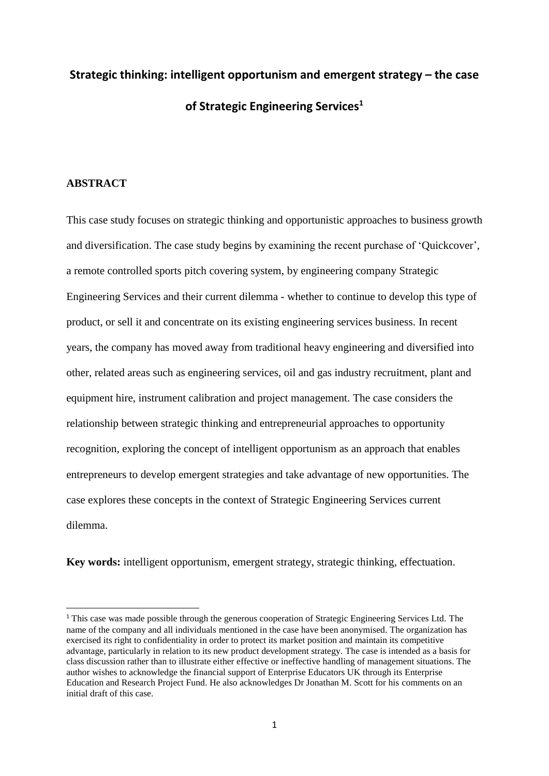# **Strategic thinking: intelligent opportunism and emergent strategy – the case of Strategic Engineering Services<sup>1</sup>**

## **ABSTRACT**

**.** 

This case study focuses on strategic thinking and opportunistic approaches to business growth and diversification. The case study begins by examining the recent purchase of 'Quickcover', a remote controlled sports pitch covering system, by engineering company Strategic Engineering Services and their current dilemma - whether to continue to develop this type of product, or sell it and concentrate on its existing engineering services business. In recent years, the company has moved away from traditional heavy engineering and diversified into other, related areas such as engineering services, oil and gas industry recruitment, plant and equipment hire, instrument calibration and project management. The case considers the relationship between strategic thinking and entrepreneurial approaches to opportunity recognition, exploring the concept of intelligent opportunism as an approach that enables entrepreneurs to develop emergent strategies and take advantage of new opportunities. The case explores these concepts in the context of Strategic Engineering Services current dilemma.

**Key words:** intelligent opportunism, emergent strategy, strategic thinking, effectuation.

<sup>&</sup>lt;sup>1</sup> This case was made possible through the generous cooperation of Strategic Engineering Services Ltd. The name of the company and all individuals mentioned in the case have been anonymised. The organization has exercised its right to confidentiality in order to protect its market position and maintain its competitive advantage, particularly in relation to its new product development strategy. The case is intended as a basis for class discussion rather than to illustrate either effective or ineffective handling of management situations. The author wishes to acknowledge the financial support of Enterprise Educators UK through its Enterprise Education and Research Project Fund. He also acknowledges Dr Jonathan M. Scott for his comments on an initial draft of this case.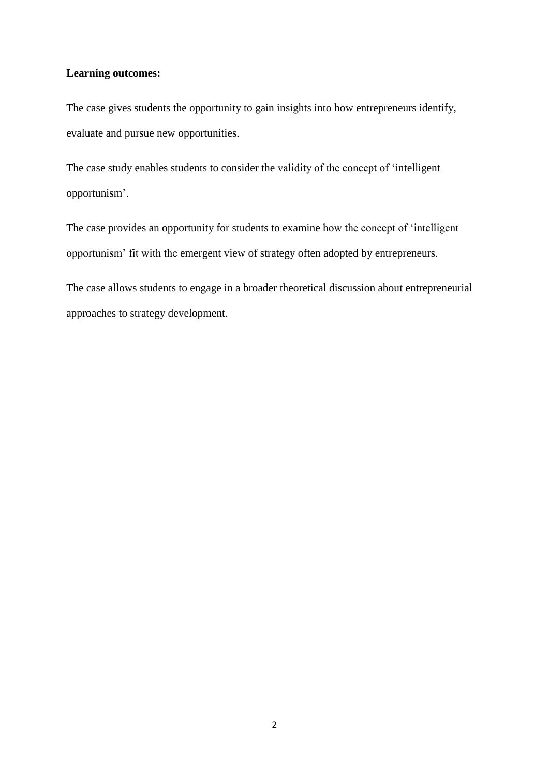## **Learning outcomes:**

The case gives students the opportunity to gain insights into how entrepreneurs identify, evaluate and pursue new opportunities.

The case study enables students to consider the validity of the concept of 'intelligent opportunism'.

The case provides an opportunity for students to examine how the concept of 'intelligent opportunism' fit with the emergent view of strategy often adopted by entrepreneurs.

The case allows students to engage in a broader theoretical discussion about entrepreneurial approaches to strategy development.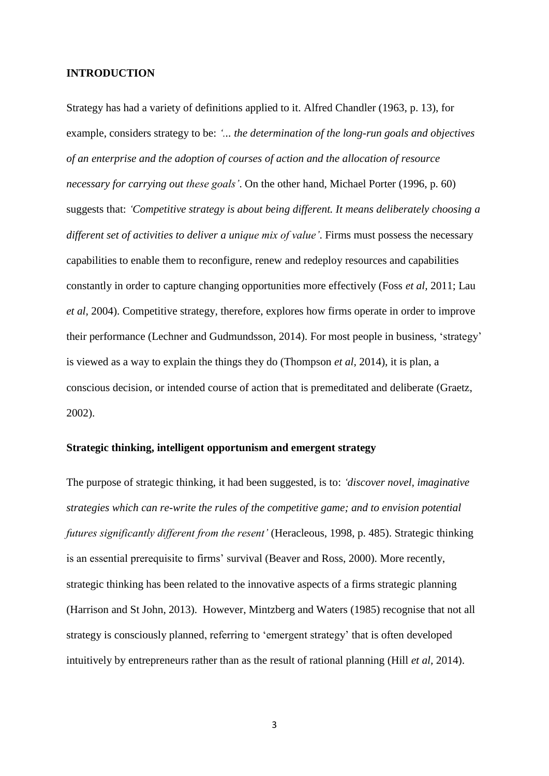## **INTRODUCTION**

Strategy has had a variety of definitions applied to it. Alfred Chandler (1963, p. 13), for example, considers strategy to be: *'... the determination of the long-run goals and objectives of an enterprise and the adoption of courses of action and the allocation of resource necessary for carrying out these goals'*. On the other hand, Michael Porter (1996, p. 60) suggests that: *'Competitive strategy is about being different. It means deliberately choosing a different set of activities to deliver a unique mix of value'*. Firms must possess the necessary capabilities to enable them to reconfigure, renew and redeploy resources and capabilities constantly in order to capture changing opportunities more effectively (Foss *et al,* 2011; Lau *et al,* 2004). Competitive strategy, therefore, explores how firms operate in order to improve their performance (Lechner and Gudmundsson, 2014). For most people in business, 'strategy' is viewed as a way to explain the things they do (Thompson *et al,* 2014), it is plan, a conscious decision, or intended course of action that is premeditated and deliberate (Graetz, 2002).

## **Strategic thinking, intelligent opportunism and emergent strategy**

The purpose of strategic thinking, it had been suggested, is to: *'discover novel, imaginative strategies which can re-write the rules of the competitive game; and to envision potential futures significantly different from the resent'* (Heracleous, 1998, p. 485). Strategic thinking is an essential prerequisite to firms' survival (Beaver and Ross, 2000). More recently, strategic thinking has been related to the innovative aspects of a firms strategic planning (Harrison and St John, 2013). However, Mintzberg and Waters (1985) recognise that not all strategy is consciously planned, referring to 'emergent strategy' that is often developed intuitively by entrepreneurs rather than as the result of rational planning (Hill *et al,* 2014).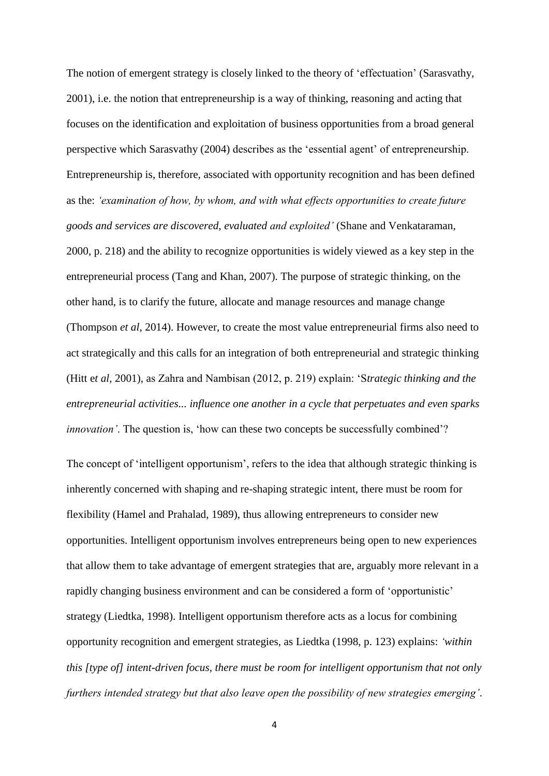The notion of emergent strategy is closely linked to the theory of 'effectuation' (Sarasvathy, 2001), i.e. the notion that entrepreneurship is a way of thinking, reasoning and acting that focuses on the identification and exploitation of business opportunities from a broad general perspective which Sarasvathy (2004) describes as the 'essential agent' of entrepreneurship. Entrepreneurship is, therefore, associated with opportunity recognition and has been defined as the: *'examination of how, by whom, and with what effects opportunities to create future goods and services are discovered, evaluated and exploited'* (Shane and Venkataraman, 2000, p. 218) and the ability to recognize opportunities is widely viewed as a key step in the entrepreneurial process (Tang and Khan, 2007). The purpose of strategic thinking, on the other hand, is to clarify the future, allocate and manage resources and manage change (Thompson *et al,* 2014). However, to create the most value entrepreneurial firms also need to act strategically and this calls for an integration of both entrepreneurial and strategic thinking (Hitt e*t al,* 2001), as Zahra and Nambisan (2012, p. 219) explain: 'S*trategic thinking and the entrepreneurial activities... influence one another in a cycle that perpetuates and even sparks innovation'*. The question is, 'how can these two concepts be successfully combined'?

The concept of 'intelligent opportunism', refers to the idea that although strategic thinking is inherently concerned with shaping and re-shaping strategic intent, there must be room for flexibility (Hamel and Prahalad, 1989), thus allowing entrepreneurs to consider new opportunities. Intelligent opportunism involves entrepreneurs being open to new experiences that allow them to take advantage of emergent strategies that are, arguably more relevant in a rapidly changing business environment and can be considered a form of 'opportunistic' strategy (Liedtka, 1998). Intelligent opportunism therefore acts as a locus for combining opportunity recognition and emergent strategies, as Liedtka (1998, p. 123) explains: *'within this [type of] intent-driven focus, there must be room for intelligent opportunism that not only furthers intended strategy but that also leave open the possibility of new strategies emerging'*.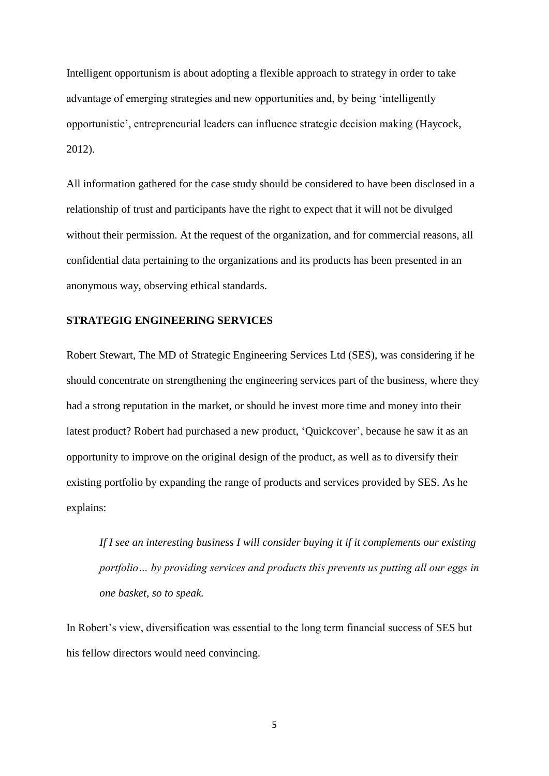Intelligent opportunism is about adopting a flexible approach to strategy in order to take advantage of emerging strategies and new opportunities and, by being 'intelligently opportunistic', entrepreneurial leaders can influence strategic decision making (Haycock, 2012).

All information gathered for the case study should be considered to have been disclosed in a relationship of trust and participants have the right to expect that it will not be divulged without their permission. At the request of the organization, and for commercial reasons, all confidential data pertaining to the organizations and its products has been presented in an anonymous way, observing ethical standards.

## **STRATEGIG ENGINEERING SERVICES**

Robert Stewart, The MD of Strategic Engineering Services Ltd (SES), was considering if he should concentrate on strengthening the engineering services part of the business, where they had a strong reputation in the market, or should he invest more time and money into their latest product? Robert had purchased a new product, 'Quickcover', because he saw it as an opportunity to improve on the original design of the product, as well as to diversify their existing portfolio by expanding the range of products and services provided by SES. As he explains:

*If I see an interesting business I will consider buying it if it complements our existing portfolio… by providing services and products this prevents us putting all our eggs in one basket, so to speak.*

In Robert's view, diversification was essential to the long term financial success of SES but his fellow directors would need convincing.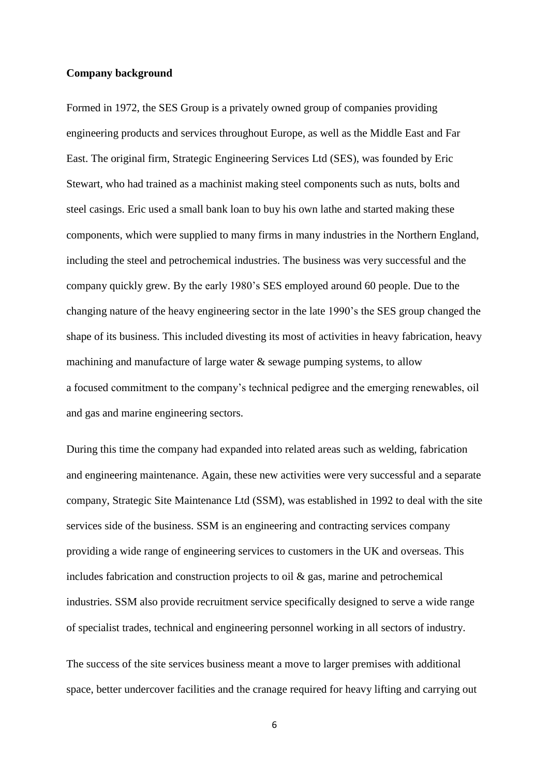## **Company background**

Formed in 1972, the SES Group is a privately owned group of companies providing engineering products and services throughout Europe, as well as the Middle East and Far East. The original firm, Strategic Engineering Services Ltd (SES), was founded by Eric Stewart, who had trained as a machinist making steel components such as nuts, bolts and steel casings. Eric used a small bank loan to buy his own lathe and started making these components, which were supplied to many firms in many industries in the Northern England, including the steel and petrochemical industries. The business was very successful and the company quickly grew. By the early 1980's SES employed around 60 people. Due to the changing nature of the heavy engineering sector in the late 1990's the SES group changed the shape of its business. This included divesting its most of activities in heavy fabrication, heavy machining and manufacture of large water & sewage pumping systems, to allow a focused commitment to the company's technical pedigree and the emerging renewables, oil and gas and marine engineering sectors.

During this time the company had expanded into related areas such as welding, fabrication and engineering maintenance. Again, these new activities were very successful and a separate company, Strategic Site Maintenance Ltd (SSM), was established in 1992 to deal with the site services side of the business. SSM is an engineering and contracting services company providing a wide range of engineering services to customers in the UK and overseas. This includes fabrication and construction projects to oil & gas, marine and petrochemical industries. SSM also provide recruitment service specifically designed to serve a wide range of specialist trades, technical and engineering personnel working in all sectors of industry.

The success of the site services business meant a move to larger premises with additional space, better undercover facilities and the cranage required for heavy lifting and carrying out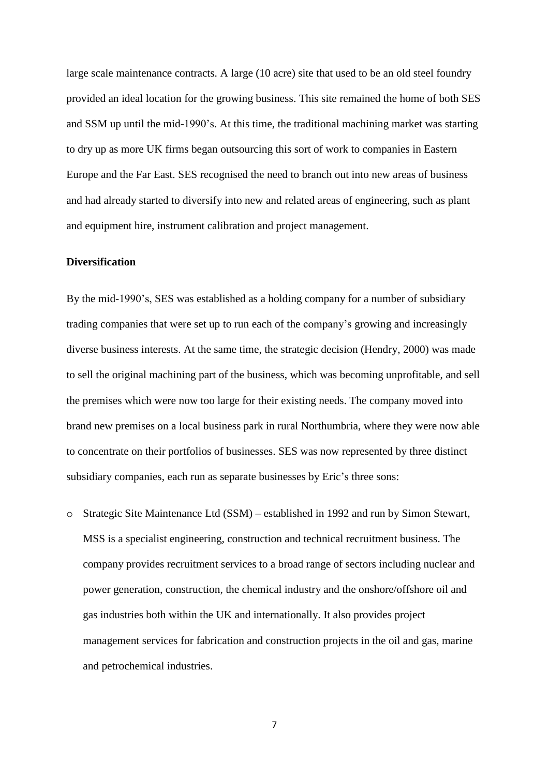large scale maintenance contracts. A large (10 acre) site that used to be an old steel foundry provided an ideal location for the growing business. This site remained the home of both SES and SSM up until the mid-1990's. At this time, the traditional machining market was starting to dry up as more UK firms began outsourcing this sort of work to companies in Eastern Europe and the Far East. SES recognised the need to branch out into new areas of business and had already started to diversify into new and related areas of engineering, such as plant and equipment hire, instrument calibration and project management.

## **Diversification**

By the mid-1990's, SES was established as a holding company for a number of subsidiary trading companies that were set up to run each of the company's growing and increasingly diverse business interests. At the same time, the strategic decision (Hendry, 2000) was made to sell the original machining part of the business, which was becoming unprofitable, and sell the premises which were now too large for their existing needs. The company moved into brand new premises on a local business park in rural Northumbria, where they were now able to concentrate on their portfolios of businesses. SES was now represented by three distinct subsidiary companies, each run as separate businesses by Eric's three sons:

o Strategic Site Maintenance Ltd (SSM) – established in 1992 and run by Simon Stewart, MSS is a specialist engineering, construction and technical recruitment business. The company provides recruitment services to a broad range of sectors including nuclear and power generation, construction, the chemical industry and the onshore/offshore oil and gas industries both within the UK and internationally. It also provides project management services for fabrication and construction projects in the oil and gas, marine and petrochemical industries.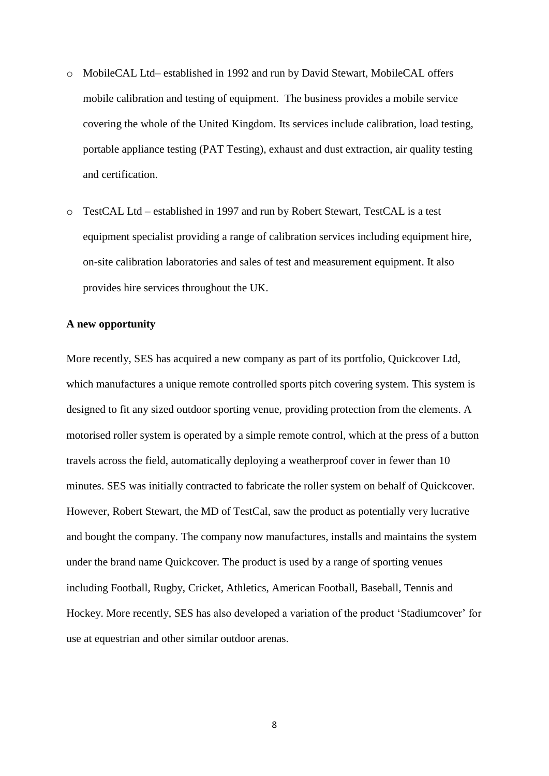- o MobileCAL Ltd– established in 1992 and run by David Stewart, MobileCAL offers mobile calibration and testing of equipment. The business provides a mobile service covering the whole of the United Kingdom. Its services include calibration, load testing, portable appliance testing (PAT Testing), exhaust and dust extraction, air quality testing and certification.
- o TestCAL Ltd established in 1997 and run by Robert Stewart, TestCAL is a test equipment specialist providing a range of calibration services including equipment hire, on-site calibration laboratories and sales of test and measurement equipment. It also provides hire services throughout the UK.

## **A new opportunity**

More recently, SES has acquired a new company as part of its portfolio, Quickcover Ltd, which manufactures a unique remote controlled sports pitch covering system. This system is designed to fit any sized outdoor sporting venue, providing protection from the elements. A motorised roller system is operated by a simple remote control, which at the press of a button travels across the field, automatically deploying a weatherproof cover in fewer than 10 minutes. SES was initially contracted to fabricate the roller system on behalf of Quickcover. However, Robert Stewart, the MD of TestCal, saw the product as potentially very lucrative and bought the company. The company now manufactures, installs and maintains the system under the brand name Quickcover. The product is used by a range of sporting venues including Football, Rugby, Cricket, Athletics, American Football, Baseball, Tennis and Hockey. More recently, SES has also developed a variation of the product 'Stadiumcover' for use at equestrian and other similar outdoor arenas.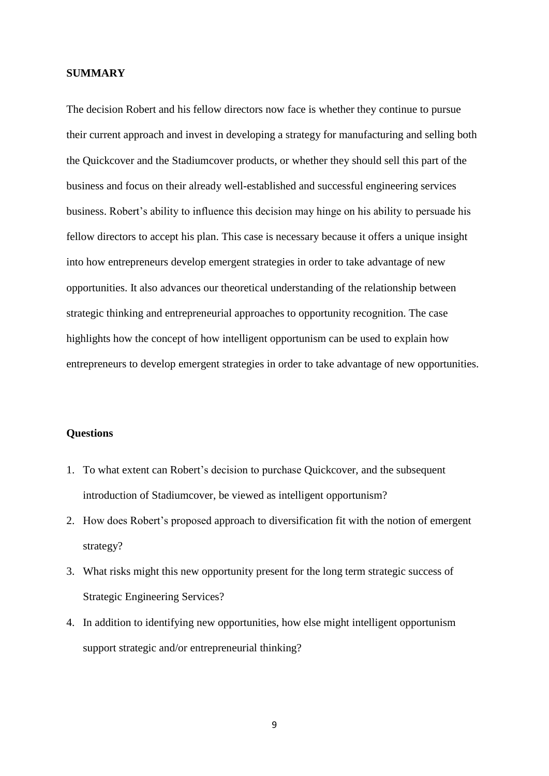## **SUMMARY**

The decision Robert and his fellow directors now face is whether they continue to pursue their current approach and invest in developing a strategy for manufacturing and selling both the Quickcover and the Stadiumcover products, or whether they should sell this part of the business and focus on their already well-established and successful engineering services business. Robert's ability to influence this decision may hinge on his ability to persuade his fellow directors to accept his plan. This case is necessary because it offers a unique insight into how entrepreneurs develop emergent strategies in order to take advantage of new opportunities. It also advances our theoretical understanding of the relationship between strategic thinking and entrepreneurial approaches to opportunity recognition. The case highlights how the concept of how intelligent opportunism can be used to explain how entrepreneurs to develop emergent strategies in order to take advantage of new opportunities.

## **Questions**

- 1. To what extent can Robert's decision to purchase Quickcover, and the subsequent introduction of Stadiumcover, be viewed as intelligent opportunism?
- 2. How does Robert's proposed approach to diversification fit with the notion of emergent strategy?
- 3. What risks might this new opportunity present for the long term strategic success of Strategic Engineering Services?
- 4. In addition to identifying new opportunities, how else might intelligent opportunism support strategic and/or entrepreneurial thinking?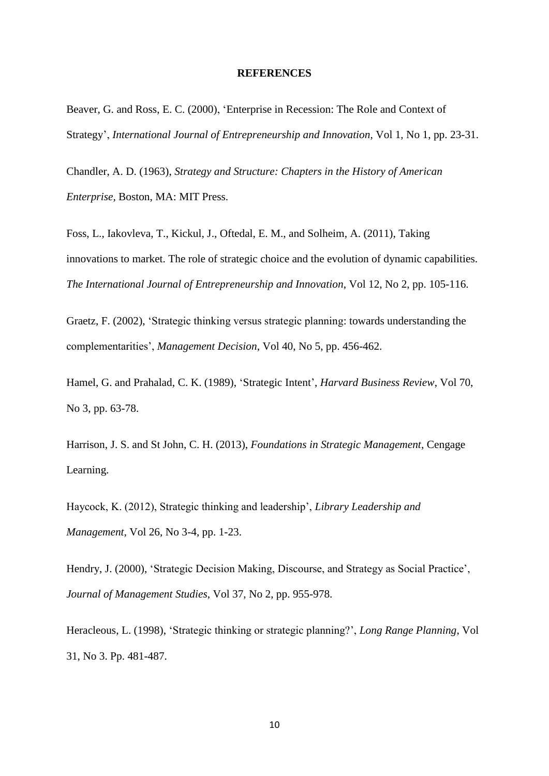#### **REFERENCES**

Beaver, G. and Ross, E. C. (2000), 'Enterprise in Recession: The Role and Context of Strategy', *International Journal of Entrepreneurship and Innovation*, Vol 1, No 1, pp. 23-31.

Chandler, A. D. (1963), *Strategy and Structure: Chapters in the History of American Enterprise,* Boston, MA: MIT Press.

Foss, L., Iakovleva, T., Kickul, J., Oftedal, E. M., and Solheim, A. (2011), Taking innovations to market. The role of strategic choice and the evolution of dynamic capabilities. *The International Journal of Entrepreneurship and Innovation*, Vol 12, No 2, pp. 105-116.

Graetz, F. (2002), 'Strategic thinking versus strategic planning: towards understanding the complementarities', *Management Decision*, Vol 40, No 5, pp. 456-462.

Hamel, G. and Prahalad, C. K. (1989), 'Strategic Intent', *Harvard Business Review*, Vol 70, No 3, pp. 63-78.

Harrison, J. S. and St John, C. H. (2013), *Foundations in Strategic Management*, Cengage Learning.

Haycock, K. (2012), Strategic thinking and leadership', *Library Leadership and Management*, Vol 26, No 3-4, pp. 1-23.

Hendry, J. (2000), 'Strategic Decision Making, Discourse, and Strategy as Social Practice', *Journal of Management Studies*, Vol 37, No 2, pp. 955-978.

Heracleous, L. (1998), 'Strategic thinking or strategic planning?', *Long Range Planning*, Vol 31, No 3. Pp. 481-487.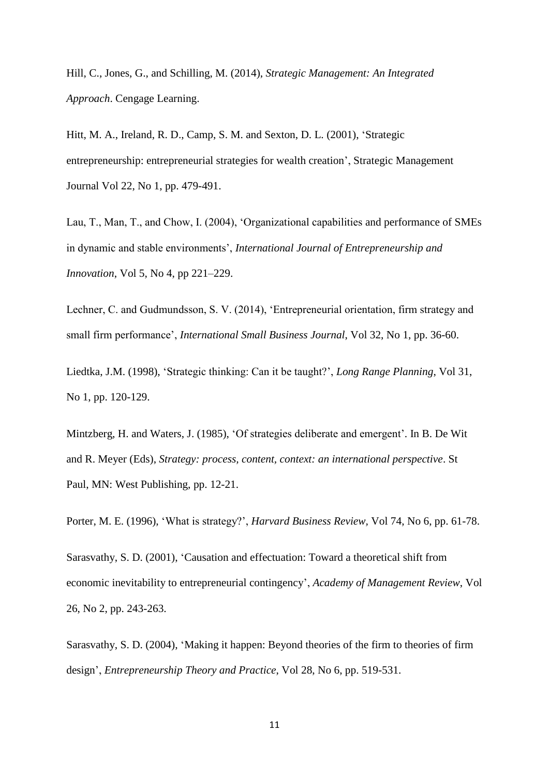Hill, C., Jones, G., and Schilling, M. (2014), *Strategic Management: An Integrated Approach*. Cengage Learning.

Hitt, M. A., Ireland, R. D., Camp, S. M. and Sexton, D. L. (2001), 'Strategic entrepreneurship: entrepreneurial strategies for wealth creation', Strategic Management Journal Vol 22, No 1, pp. 479-491.

Lau, T., Man, T., and Chow, I. (2004), 'Organizational capabilities and performance of SMEs in dynamic and stable environments', *International Journal of Entrepreneurship and Innovation*, Vol 5, No 4, pp 221–229.

Lechner, C. and Gudmundsson, S. V. (2014), 'Entrepreneurial orientation, firm strategy and small firm performance', *International Small Business Journal*, Vol 32, No 1, pp. 36-60.

Liedtka, J.M. (1998), 'Strategic thinking: Can it be taught?', *Long Range Planning*, Vol 31, No 1, pp. 120-129.

Mintzberg, H. and Waters, J. (1985), 'Of strategies deliberate and emergent'. In B. De Wit and R. Meyer (Eds), *Strategy: process, content, context: an international perspective*. St Paul, MN: West Publishing, pp. 12-21.

Porter, M. E. (1996), 'What is strategy?', *Harvard Business Review,* Vol 74, No 6, pp. 61-78.

Sarasvathy, S. D. (2001), 'Causation and effectuation: Toward a theoretical shift from economic inevitability to entrepreneurial contingency', *Academy of Management Review*, Vol 26, No 2, pp. 243-263.

Sarasvathy, S. D. (2004), 'Making it happen: Beyond theories of the firm to theories of firm design', *Entrepreneurship Theory and Practice*, Vol 28, No 6, pp. 519-531.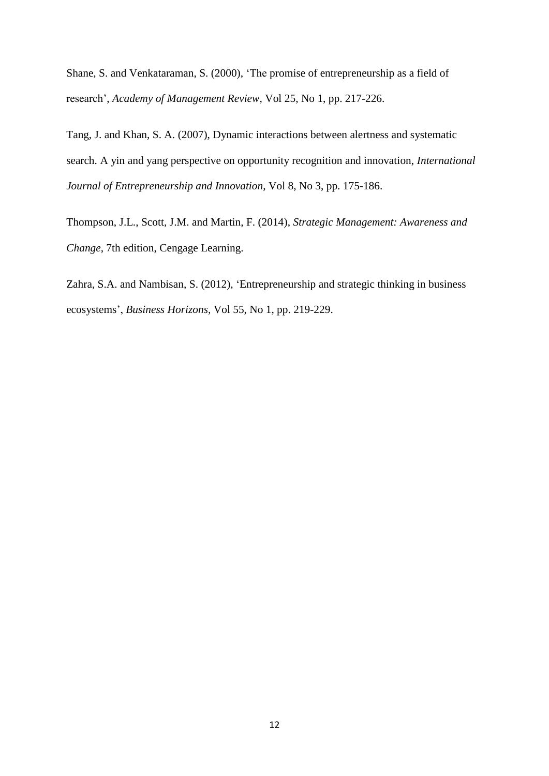Shane, S. and Venkataraman, S. (2000), 'The promise of entrepreneurship as a field of research', *Academy of Management Review,* Vol 25, No 1, pp. 217-226.

Tang, J. and Khan, S. A. (2007), Dynamic interactions between alertness and systematic search. A yin and yang perspective on opportunity recognition and innovation, *International Journal of Entrepreneurship and Innovation*, Vol 8, No 3, pp. 175-186.

Thompson, J.L., Scott, J.M. and Martin, F. (2014), *Strategic Management: Awareness and Change*, 7th edition, Cengage Learning.

Zahra, S.A. and Nambisan, S. (2012), 'Entrepreneurship and strategic thinking in business ecosystems', *Business Horizons,* Vol 55, No 1, pp. 219-229.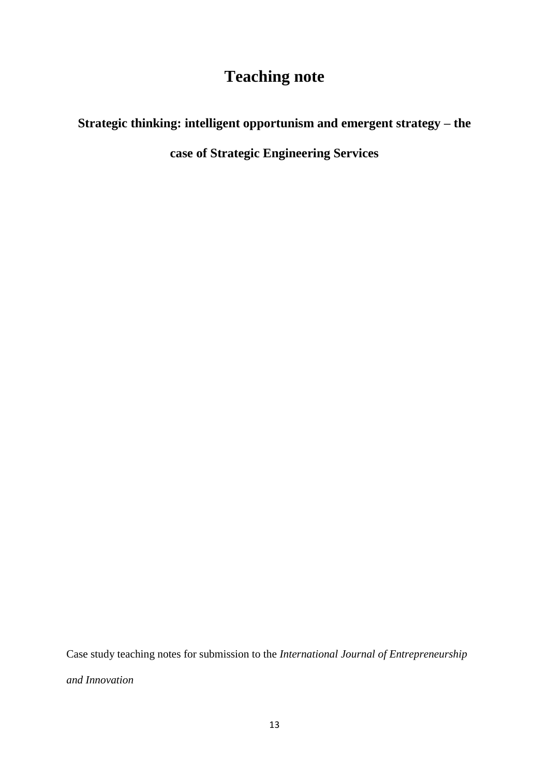## **Teaching note**

## **Strategic thinking: intelligent opportunism and emergent strategy – the**

**case of Strategic Engineering Services**

Case study teaching notes for submission to the *International Journal of Entrepreneurship and Innovation*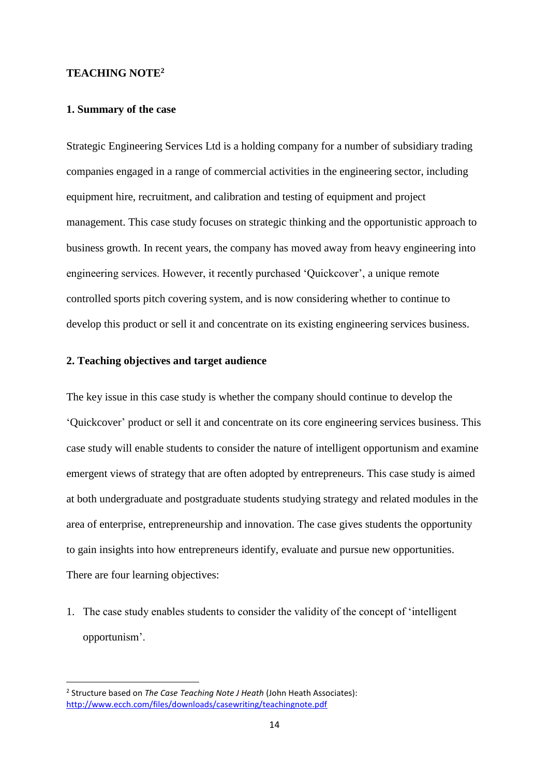## **TEACHING NOTE<sup>2</sup>**

## **1. Summary of the case**

Strategic Engineering Services Ltd is a holding company for a number of subsidiary trading companies engaged in a range of commercial activities in the engineering sector, including equipment hire, recruitment, and calibration and testing of equipment and project management. This case study focuses on strategic thinking and the opportunistic approach to business growth. In recent years, the company has moved away from heavy engineering into engineering services. However, it recently purchased 'Quickcover', a unique remote controlled sports pitch covering system, and is now considering whether to continue to develop this product or sell it and concentrate on its existing engineering services business.

## **2. Teaching objectives and target audience**

The key issue in this case study is whether the company should continue to develop the 'Quickcover' product or sell it and concentrate on its core engineering services business. This case study will enable students to consider the nature of intelligent opportunism and examine emergent views of strategy that are often adopted by entrepreneurs. This case study is aimed at both undergraduate and postgraduate students studying strategy and related modules in the area of enterprise, entrepreneurship and innovation. The case gives students the opportunity to gain insights into how entrepreneurs identify, evaluate and pursue new opportunities. There are four learning objectives:

1. The case study enables students to consider the validity of the concept of 'intelligent opportunism'.

 $\overline{a}$ 

<sup>2</sup> Structure based on *The Case Teaching Note J Heath* (John Heath Associates): <http://www.ecch.com/files/downloads/casewriting/teachingnote.pdf>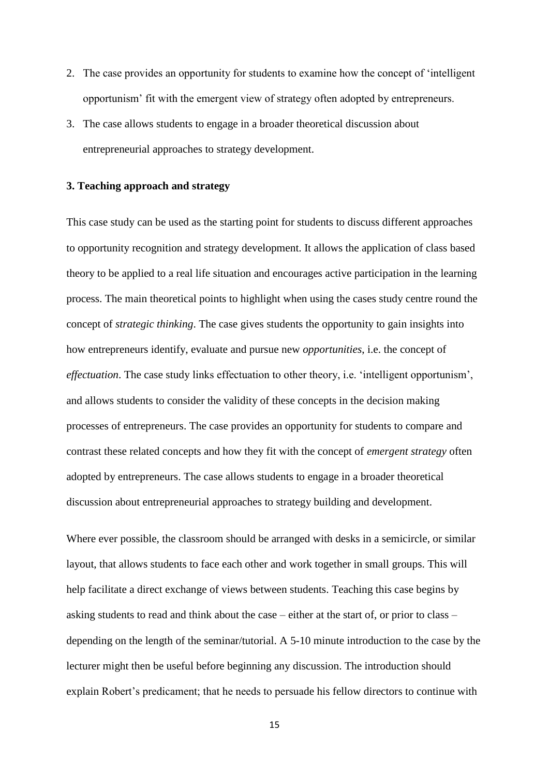- 2. The case provides an opportunity for students to examine how the concept of 'intelligent opportunism' fit with the emergent view of strategy often adopted by entrepreneurs.
- 3. The case allows students to engage in a broader theoretical discussion about entrepreneurial approaches to strategy development.

## **3. Teaching approach and strategy**

This case study can be used as the starting point for students to discuss different approaches to opportunity recognition and strategy development. It allows the application of class based theory to be applied to a real life situation and encourages active participation in the learning process. The main theoretical points to highlight when using the cases study centre round the concept of *strategic thinking*. The case gives students the opportunity to gain insights into how entrepreneurs identify, evaluate and pursue new *opportunities*, i.e. the concept of *effectuation*. The case study links effectuation to other theory, i.e. 'intelligent opportunism', and allows students to consider the validity of these concepts in the decision making processes of entrepreneurs. The case provides an opportunity for students to compare and contrast these related concepts and how they fit with the concept of *emergent strategy* often adopted by entrepreneurs. The case allows students to engage in a broader theoretical discussion about entrepreneurial approaches to strategy building and development.

Where ever possible, the classroom should be arranged with desks in a semicircle, or similar layout, that allows students to face each other and work together in small groups. This will help facilitate a direct exchange of views between students. Teaching this case begins by asking students to read and think about the case – either at the start of, or prior to class – depending on the length of the seminar/tutorial. A 5-10 minute introduction to the case by the lecturer might then be useful before beginning any discussion. The introduction should explain Robert's predicament; that he needs to persuade his fellow directors to continue with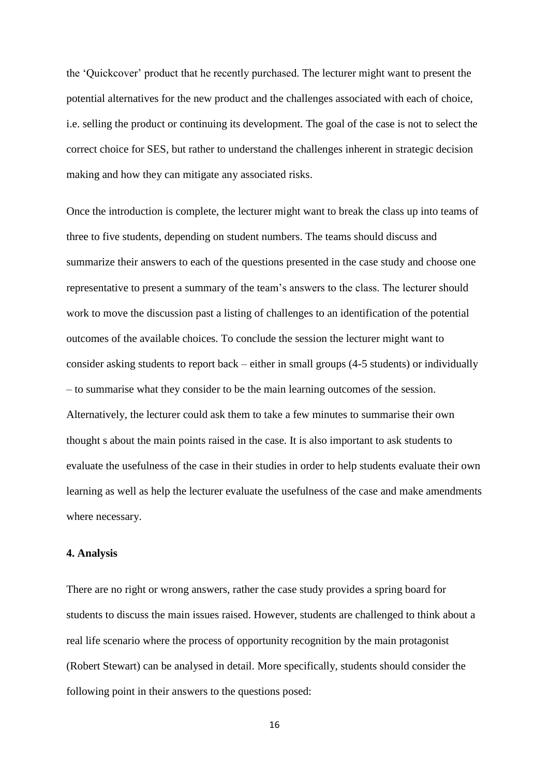the 'Quickcover' product that he recently purchased. The lecturer might want to present the potential alternatives for the new product and the challenges associated with each of choice, i.e. selling the product or continuing its development. The goal of the case is not to select the correct choice for SES, but rather to understand the challenges inherent in strategic decision making and how they can mitigate any associated risks.

Once the introduction is complete, the lecturer might want to break the class up into teams of three to five students, depending on student numbers. The teams should discuss and summarize their answers to each of the questions presented in the case study and choose one representative to present a summary of the team's answers to the class. The lecturer should work to move the discussion past a listing of challenges to an identification of the potential outcomes of the available choices. To conclude the session the lecturer might want to consider asking students to report back – either in small groups (4-5 students) or individually – to summarise what they consider to be the main learning outcomes of the session. Alternatively, the lecturer could ask them to take a few minutes to summarise their own thought s about the main points raised in the case. It is also important to ask students to evaluate the usefulness of the case in their studies in order to help students evaluate their own learning as well as help the lecturer evaluate the usefulness of the case and make amendments where necessary.

## **4. Analysis**

There are no right or wrong answers, rather the case study provides a spring board for students to discuss the main issues raised. However, students are challenged to think about a real life scenario where the process of opportunity recognition by the main protagonist (Robert Stewart) can be analysed in detail. More specifically, students should consider the following point in their answers to the questions posed: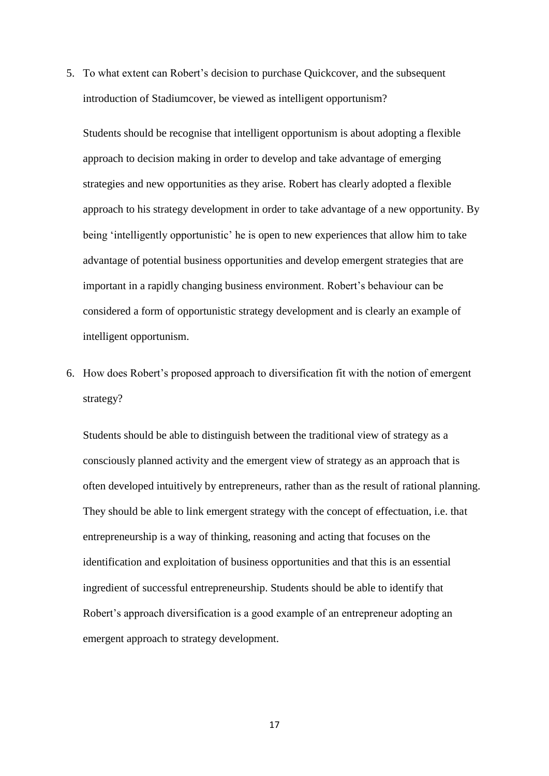5. To what extent can Robert's decision to purchase Quickcover, and the subsequent introduction of Stadiumcover, be viewed as intelligent opportunism?

Students should be recognise that intelligent opportunism is about adopting a flexible approach to decision making in order to develop and take advantage of emerging strategies and new opportunities as they arise. Robert has clearly adopted a flexible approach to his strategy development in order to take advantage of a new opportunity. By being 'intelligently opportunistic' he is open to new experiences that allow him to take advantage of potential business opportunities and develop emergent strategies that are important in a rapidly changing business environment. Robert's behaviour can be considered a form of opportunistic strategy development and is clearly an example of intelligent opportunism.

6. How does Robert's proposed approach to diversification fit with the notion of emergent strategy?

Students should be able to distinguish between the traditional view of strategy as a consciously planned activity and the emergent view of strategy as an approach that is often developed intuitively by entrepreneurs, rather than as the result of rational planning. They should be able to link emergent strategy with the concept of effectuation, i.e. that entrepreneurship is a way of thinking, reasoning and acting that focuses on the identification and exploitation of business opportunities and that this is an essential ingredient of successful entrepreneurship. Students should be able to identify that Robert's approach diversification is a good example of an entrepreneur adopting an emergent approach to strategy development.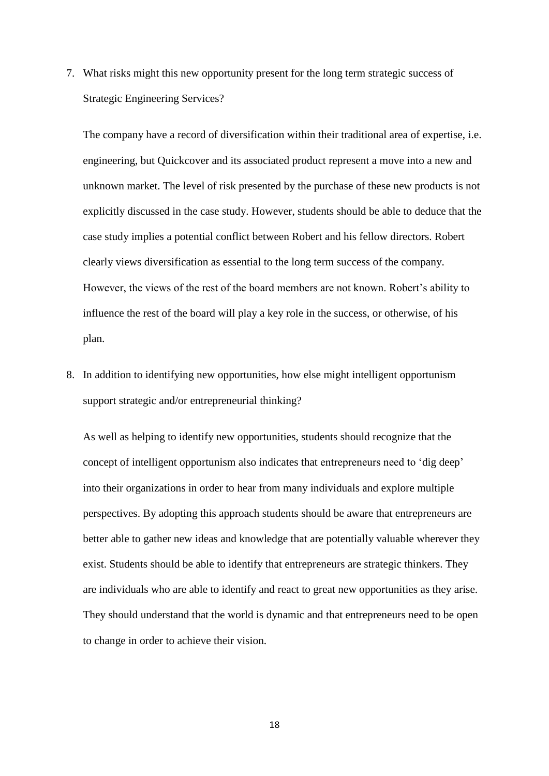7. What risks might this new opportunity present for the long term strategic success of Strategic Engineering Services?

The company have a record of diversification within their traditional area of expertise, i.e. engineering, but Quickcover and its associated product represent a move into a new and unknown market. The level of risk presented by the purchase of these new products is not explicitly discussed in the case study. However, students should be able to deduce that the case study implies a potential conflict between Robert and his fellow directors. Robert clearly views diversification as essential to the long term success of the company. However, the views of the rest of the board members are not known. Robert's ability to influence the rest of the board will play a key role in the success, or otherwise, of his plan.

8. In addition to identifying new opportunities, how else might intelligent opportunism support strategic and/or entrepreneurial thinking?

As well as helping to identify new opportunities, students should recognize that the concept of intelligent opportunism also indicates that entrepreneurs need to 'dig deep' into their organizations in order to hear from many individuals and explore multiple perspectives. By adopting this approach students should be aware that entrepreneurs are better able to gather new ideas and knowledge that are potentially valuable wherever they exist. Students should be able to identify that entrepreneurs are strategic thinkers. They are individuals who are able to identify and react to great new opportunities as they arise. They should understand that the world is dynamic and that entrepreneurs need to be open to change in order to achieve their vision.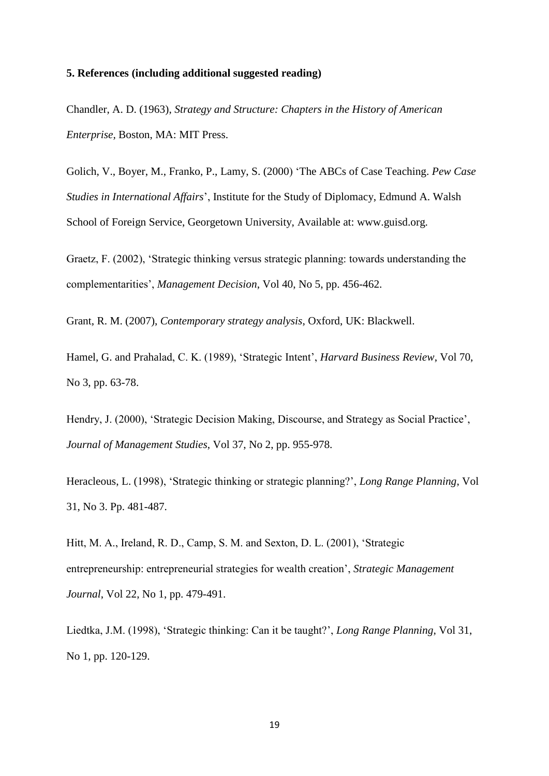## **5. References (including additional suggested reading)**

Chandler, A. D. (1963), *Strategy and Structure: Chapters in the History of American Enterprise,* Boston, MA: MIT Press.

Golich, V., Boyer, M., Franko, P., Lamy, S. (2000) 'The ABCs of Case Teaching. *Pew Case Studies in International Affairs*', Institute for the Study of Diplomacy, Edmund A. Walsh School of Foreign Service, Georgetown University, Available at: www.guisd.org.

Graetz, F. (2002), 'Strategic thinking versus strategic planning: towards understanding the complementarities', *Management Decision*, Vol 40, No 5, pp. 456-462.

Grant, R. M. (2007), *Contemporary strategy analysis*, Oxford, UK: Blackwell.

Hamel, G. and Prahalad, C. K. (1989), 'Strategic Intent', *Harvard Business Review*, Vol 70, No 3, pp. 63-78.

Hendry, J. (2000), 'Strategic Decision Making, Discourse, and Strategy as Social Practice', *Journal of Management Studies*, Vol 37, No 2, pp. 955-978.

Heracleous, L. (1998), 'Strategic thinking or strategic planning?', *Long Range Planning*, Vol 31, No 3. Pp. 481-487.

Hitt, M. A., Ireland, R. D., Camp, S. M. and Sexton, D. L. (2001), 'Strategic entrepreneurship: entrepreneurial strategies for wealth creation', *Strategic Management Journal*, Vol 22, No 1, pp. 479-491.

Liedtka, J.M. (1998), 'Strategic thinking: Can it be taught?', *Long Range Planning*, Vol 31, No 1, pp. 120-129.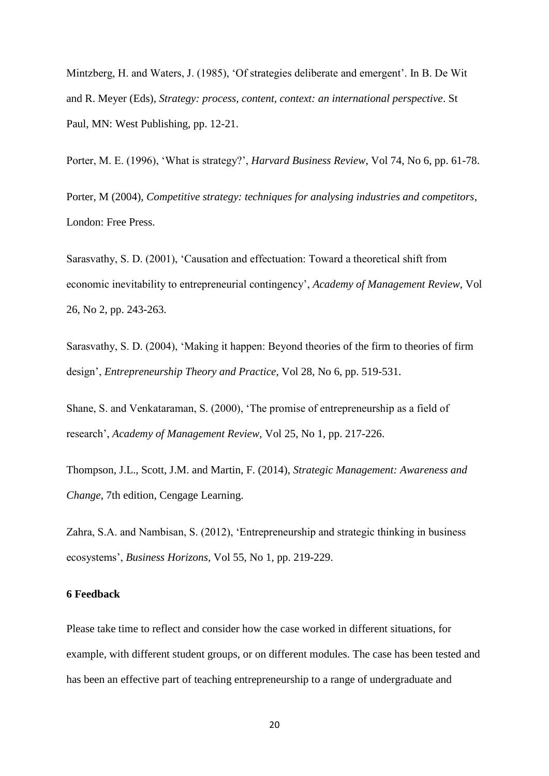Mintzberg, H. and Waters, J. (1985), 'Of strategies deliberate and emergent'. In B. De Wit and R. Meyer (Eds), *Strategy: process, content, context: an international perspective*. St Paul, MN: West Publishing, pp. 12-21.

Porter, M. E. (1996), 'What is strategy?', *Harvard Business Review,* Vol 74, No 6, pp. 61-78.

Porter, M (2004), *Competitive strategy: techniques for analysing industries and competitors*, London: Free Press.

Sarasvathy, S. D. (2001), 'Causation and effectuation: Toward a theoretical shift from economic inevitability to entrepreneurial contingency', *Academy of Management Review*, Vol 26, No 2, pp. 243-263.

Sarasvathy, S. D. (2004), 'Making it happen: Beyond theories of the firm to theories of firm design', *Entrepreneurship Theory and Practice*, Vol 28, No 6, pp. 519-531.

Shane, S. and Venkataraman, S. (2000), 'The promise of entrepreneurship as a field of research', *Academy of Management Review,* Vol 25, No 1, pp. 217-226.

Thompson, J.L., Scott, J.M. and Martin, F. (2014), *Strategic Management: Awareness and Change*, 7th edition, Cengage Learning.

Zahra, S.A. and Nambisan, S. (2012), 'Entrepreneurship and strategic thinking in business ecosystems', *Business Horizons,* Vol 55, No 1, pp. 219-229.

## **6 Feedback**

Please take time to reflect and consider how the case worked in different situations, for example, with different student groups, or on different modules. The case has been tested and has been an effective part of teaching entrepreneurship to a range of undergraduate and